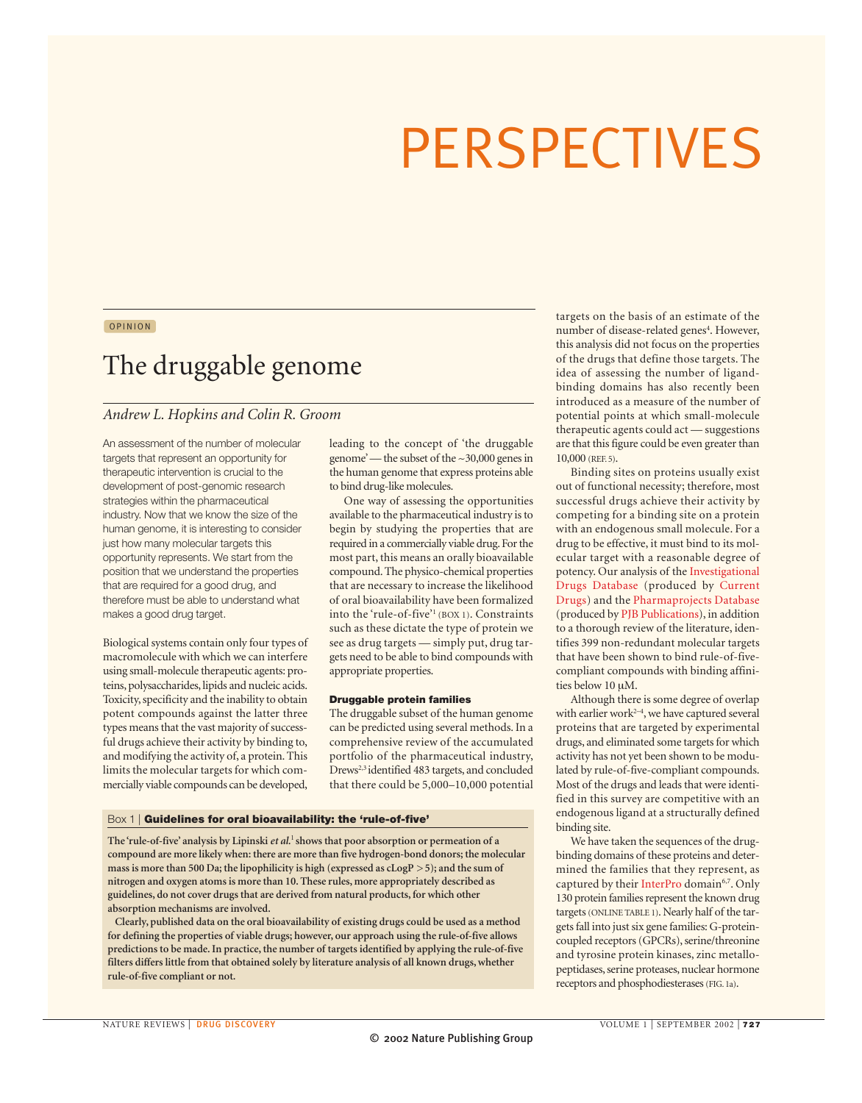### OPINION

# The druggable genome

# *Andrew L. Hopkins and Colin R. Groom*

An assessment of the number of molecular targets that represent an opportunity for therapeutic intervention is crucial to the development of post-genomic research strategies within the pharmaceutical industry. Now that we know the size of the human genome, it is interesting to consider just how many molecular targets this opportunity represents. We start from the position that we understand the properties that are required for a good drug, and therefore must be able to understand what makes a good drug target.

Biological systems contain only four types of macromolecule with which we can interfere using small-molecule therapeutic agents: proteins, polysaccharides, lipids and nucleic acids. Toxicity, specificity and the inability to obtain potent compounds against the latter three types means that the vast majority of successful drugs achieve their activity by binding to, and modifying the activity of, a protein. This limits the molecular targets for which commercially viable compounds can be developed,

leading to the concept of 'the druggable genome'— the subset of the  $\sim$ 30,000 genes in the human genome that express proteins able to bind drug-like molecules.

One way of assessing the opportunities available to the pharmaceutical industry is to begin by studying the properties that are required in a commercially viable drug. For the most part, this means an orally bioavailable compound. The physico-chemical properties that are necessary to increase the likelihood of oral bioavailability have been formalized into the 'rule-of-five'1 (BOX 1). Constraints such as these dictate the type of protein we see as drug targets — simply put, drug targets need to be able to bind compounds with appropriate properties.

#### **Druggable protein families**

The druggable subset of the human genome can be predicted using several methods. In a comprehensive review of the accumulated portfolio of the pharmaceutical industry, Drews<sup>2,3</sup> identified 483 targets, and concluded that there could be 5,000–10,000 potential

#### Box 1 | **Guidelines for oral bioavailability: the 'rule-of-five'**

**The 'rule-of-five' analysis by Lipinski** *et al.*<sup>1</sup>**shows that poor absorption or permeation of a compound are more likely when: there are more than five hydrogen-bond donors; the molecular mass is more than 500 Da; the lipophilicity is high (expressed as cLogP > 5); and the sum of nitrogen and oxygen atoms is more than 10. These rules, more appropriately described as guidelines, do not cover drugs that are derived from natural products, for which other absorption mechanisms are involved.**

**Clearly, published data on the oral bioavailability of existing drugs could be used as a method for defining the properties of viable drugs; however, our approach using the rule-of-five allows predictions to be made. In practice, the number of targets identified by applying the rule-of-five filters differs little from that obtained solely by literature analysis of all known drugs, whether rule-of-five compliant or not.**

targets on the basis of an estimate of the number of disease-related genes<sup>4</sup>. However, this analysis did not focus on the properties of the drugs that define those targets. The idea of assessing the number of ligandbinding domains has also recently been introduced as a measure of the number of potential points at which small-molecule therapeutic agents could act — suggestions are that this figure could be even greater than 10,000 (REF. 5).

Binding sites on proteins usually exist out of functional necessity; therefore, most successful drugs achieve their activity by competing for a binding site on a protein with an endogenous small molecule. For a drug to be effective, it must bind to its molecular target with a reasonable degree of potency. Our analysis of the Investigational Drugs Database (produced by Current Drugs) and the Pharmaprojects Database (produced by PJB Publications), in addition to a thorough review of the literature, identifies 399 non-redundant molecular targets that have been shown to bind rule-of-fivecompliant compounds with binding affinities below 10 µM.

Although there is some degree of overlap with earlier work<sup>2-4</sup>, we have captured several proteins that are targeted by experimental drugs, and eliminated some targets for which activity has not yet been shown to be modulated by rule-of-five-compliant compounds. Most of the drugs and leads that were identified in this survey are competitive with an endogenous ligand at a structurally defined binding site.

We have taken the sequences of the drugbinding domains of these proteins and determined the families that they represent, as captured by their InterPro domain<sup>6,7</sup>. Only 130 protein families represent the known drug targets (ONLINE TABLE 1). Nearly half of the targets fall into just six gene families: G-proteincoupled receptors (GPCRs), serine/threonine and tyrosine protein kinases, zinc metallopeptidases, serine proteases, nuclear hormone receptors and phosphodiesterases (FIG. 1a).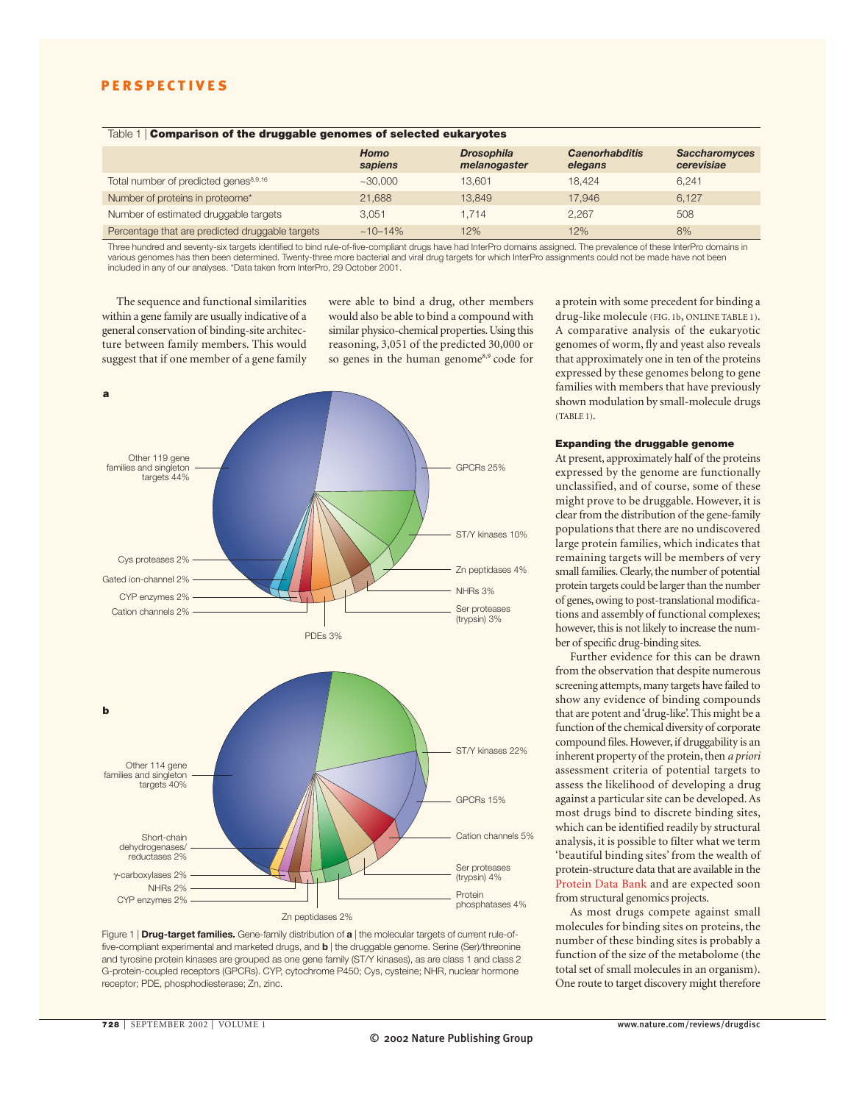| Comparison of the druggable genomes of selected eukaryotes<br>Table 1 |                        |                                   |                                  |                                    |
|-----------------------------------------------------------------------|------------------------|-----------------------------------|----------------------------------|------------------------------------|
|                                                                       | <b>Homo</b><br>sapiens | <b>Drosophila</b><br>melanogaster | <b>Caenorhabditis</b><br>elegans | <b>Saccharomyces</b><br>cerevisiae |
| Total number of predicted genes <sup>8,9,16</sup>                     | ~10000                 | 13.601                            | 18.424                           | 6.241                              |
| Number of proteins in proteome*                                       | 21.688                 | 13.849                            | 17.946                           | 6.127                              |
| Number of estimated druggable targets                                 | 3.051                  | 1.714                             | 2.267                            | 508                                |
| Percentage that are predicted druggable targets                       | $~10 - 14\%$           | 12%                               | 12%                              | 8%                                 |

Three hundred and seventy-six targets identified to bind rule-of-five-compliant drugs have had InterPro domains assigned. The prevalence of these InterPro domains in various genomes has then been determined. Twenty-three more bacterial and viral drug targets for which InterPro assignments could not be made have not been included in any of our analyses. \*Data taken from InterPro, 29 October 2001.

The sequence and functional similarities within a gene family are usually indicative of a general conservation of binding-site architecture between family members. This would suggest that if one member of a gene family

were able to bind a drug, other members would also be able to bind a compound with similar physico-chemical properties. Using this reasoning, 3,051 of the predicted 30,000 or so genes in the human genome<sup>8,9</sup> code for



Figure 1 | **Drug-target families.** Gene-family distribution of **a** | the molecular targets of current rule-offive-compliant experimental and marketed drugs, and **b** | the druggable genome. Serine (Ser)/threonine and tyrosine protein kinases are grouped as one gene family (ST/Y kinases), as are class 1 and class 2 G-protein-coupled receptors (GPCRs). CYP, cytochrome P450; Cys, cysteine; NHR, nuclear hormone receptor; PDE, phosphodiesterase; Zn, zinc.

a protein with some precedent for binding a drug-like molecule (FIG. 1b, ONLINE TABLE 1). A comparative analysis of the eukaryotic genomes of worm, fly and yeast also reveals that approximately one in ten of the proteins expressed by these genomes belong to gene families with members that have previously shown modulation by small-molecule drugs (TABLE 1).

#### **Expanding the druggable genome**

At present, approximately half of the proteins expressed by the genome are functionally unclassified, and of course, some of these might prove to be druggable. However, it is clear from the distribution of the gene-family populations that there are no undiscovered large protein families, which indicates that remaining targets will be members of very small families. Clearly, the number of potential protein targets could be larger than the number of genes, owing to post-translational modifications and assembly of functional complexes; however, this is not likely to increase the number of specific drug-binding sites.

Further evidence for this can be drawn from the observation that despite numerous screening attempts, many targets have failed to show any evidence of binding compounds that are potent and 'drug-like'. This might be a function of the chemical diversity of corporate compound files. However, if druggability is an inherent property of the protein, then *a priori* assessment criteria of potential targets to assess the likelihood of developing a drug against a particular site can be developed. As most drugs bind to discrete binding sites, which can be identified readily by structural analysis, it is possible to filter what we term 'beautiful binding sites' from the wealth of protein-structure data that are available in the Protein Data Bank and are expected soon from structural genomics projects.

As most drugs compete against small molecules for binding sites on proteins, the number of these binding sites is probably a function of the size of the metabolome (the total set of small molecules in an organism). One route to target discovery might therefore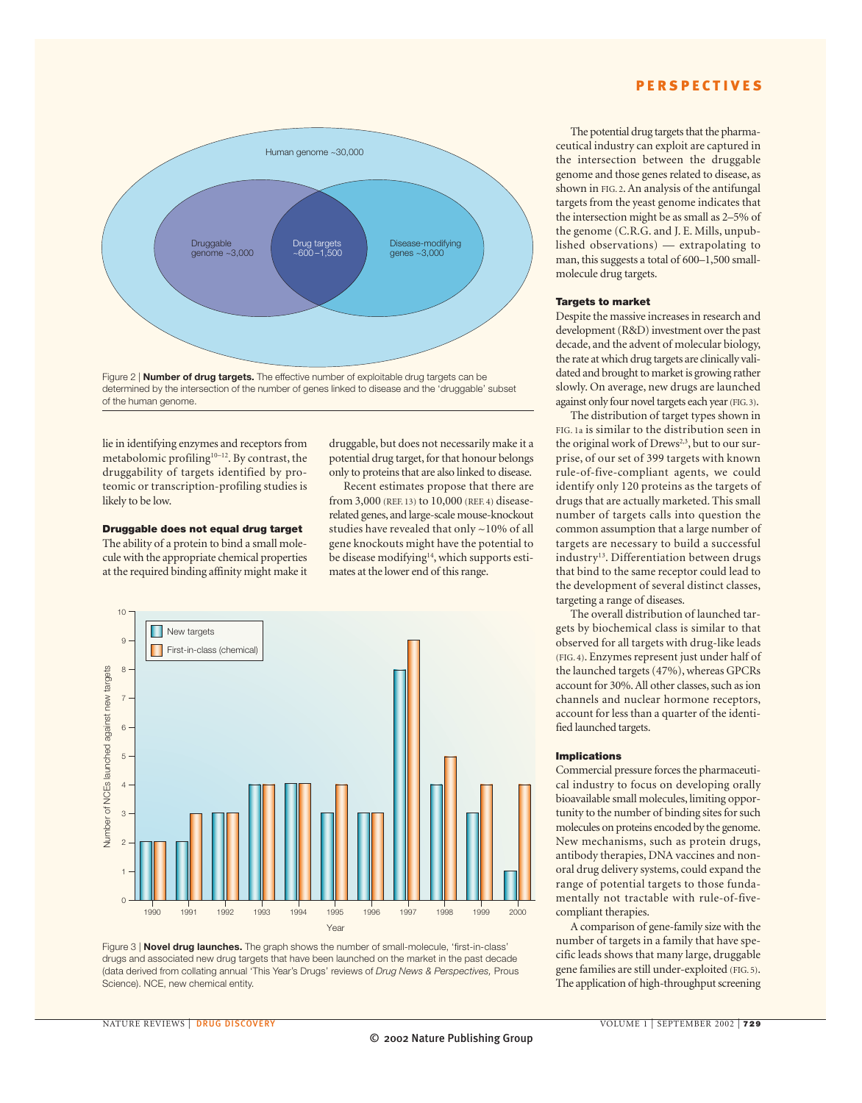

Figure 2 | **Number of drug targets.** The effective number of exploitable drug targets can be determined by the intersection of the number of genes linked to disease and the 'druggable' subset of the human genome.

lie in identifying enzymes and receptors from metabolomic profiling<sup>10-12</sup>. By contrast, the druggability of targets identified by proteomic or transcription-profiling studies is likely to be low.

#### **Druggable does not equal drug target**

The ability of a protein to bind a small molecule with the appropriate chemical properties at the required binding affinity might make it druggable, but does not necessarily make it a potential drug target, for that honour belongs only to proteins that are also linked to disease.

Recent estimates propose that there are from 3,000 (REF. 13) to 10,000 (REF. 4) diseaserelated genes, and large-scale mouse-knockout studies have revealed that only ~10% of all gene knockouts might have the potential to be disease modifying<sup>14</sup>, which supports estimates at the lower end of this range.





The potential drug targets that the pharmaceutical industry can exploit are captured in the intersection between the druggable genome and those genes related to disease, as shown in FIG. 2. An analysis of the antifungal targets from the yeast genome indicates that the intersection might be as small as 2–5% of the genome (C.R.G. and J. E. Mills, unpublished observations) — extrapolating to man, this suggests a total of 600–1,500 smallmolecule drug targets.

#### **Targets to market**

Despite the massive increases in research and development (R&D) investment over the past decade, and the advent of molecular biology, the rate at which drug targets are clinically validated and brought to market is growing rather slowly. On average, new drugs are launched against only four novel targets each year (FIG. 3).

The distribution of target types shown in FIG. 1a is similar to the distribution seen in the original work of Drews<sup>2,3</sup>, but to our surprise, of our set of 399 targets with known rule-of-five-compliant agents, we could identify only 120 proteins as the targets of drugs that are actually marketed. This small number of targets calls into question the common assumption that a large number of targets are necessary to build a successful industry<sup>13</sup>. Differentiation between drugs that bind to the same receptor could lead to the development of several distinct classes, targeting a range of diseases.

The overall distribution of launched targets by biochemical class is similar to that observed for all targets with drug-like leads (FIG. 4). Enzymes represent just under half of the launched targets (47%), whereas GPCRs account for 30%. All other classes, such as ion channels and nuclear hormone receptors, account for less than a quarter of the identified launched targets.

#### **Implications**

Commercial pressure forces the pharmaceutical industry to focus on developing orally bioavailable small molecules, limiting opportunity to the number of binding sites for such molecules on proteins encoded by the genome. New mechanisms, such as protein drugs, antibody therapies, DNA vaccines and nonoral drug delivery systems, could expand the range of potential targets to those fundamentally not tractable with rule-of-fivecompliant therapies.

A comparison of gene-family size with the number of targets in a family that have specific leads shows that many large, druggable gene families are still under-exploited (FIG. 5). The application of high-throughput screening